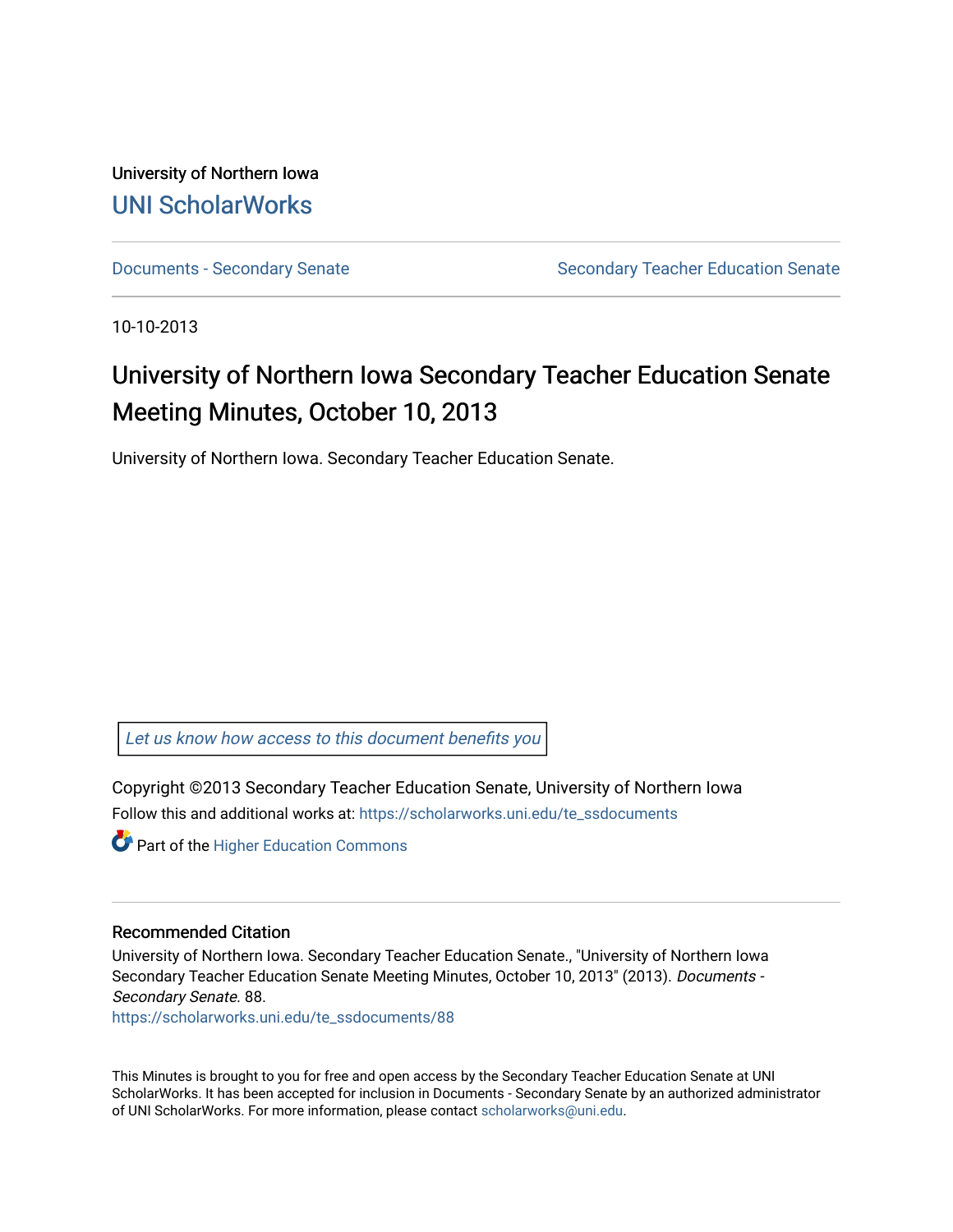University of Northern Iowa [UNI ScholarWorks](https://scholarworks.uni.edu/) 

[Documents - Secondary Senate](https://scholarworks.uni.edu/te_ssdocuments) Senate Secondary Teacher Education Senate

10-10-2013

# University of Northern Iowa Secondary Teacher Education Senate Meeting Minutes, October 10, 2013

University of Northern Iowa. Secondary Teacher Education Senate.

[Let us know how access to this document benefits you](https://scholarworks.uni.edu/feedback_form.html) 

Copyright ©2013 Secondary Teacher Education Senate, University of Northern Iowa Follow this and additional works at: [https://scholarworks.uni.edu/te\\_ssdocuments](https://scholarworks.uni.edu/te_ssdocuments?utm_source=scholarworks.uni.edu%2Fte_ssdocuments%2F88&utm_medium=PDF&utm_campaign=PDFCoverPages) 

**Part of the Higher Education Commons** 

#### Recommended Citation

University of Northern Iowa. Secondary Teacher Education Senate., "University of Northern Iowa Secondary Teacher Education Senate Meeting Minutes, October 10, 2013" (2013). Documents - Secondary Senate. 88.

[https://scholarworks.uni.edu/te\\_ssdocuments/88](https://scholarworks.uni.edu/te_ssdocuments/88?utm_source=scholarworks.uni.edu%2Fte_ssdocuments%2F88&utm_medium=PDF&utm_campaign=PDFCoverPages)

This Minutes is brought to you for free and open access by the Secondary Teacher Education Senate at UNI ScholarWorks. It has been accepted for inclusion in Documents - Secondary Senate by an authorized administrator of UNI ScholarWorks. For more information, please contact [scholarworks@uni.edu](mailto:scholarworks@uni.edu).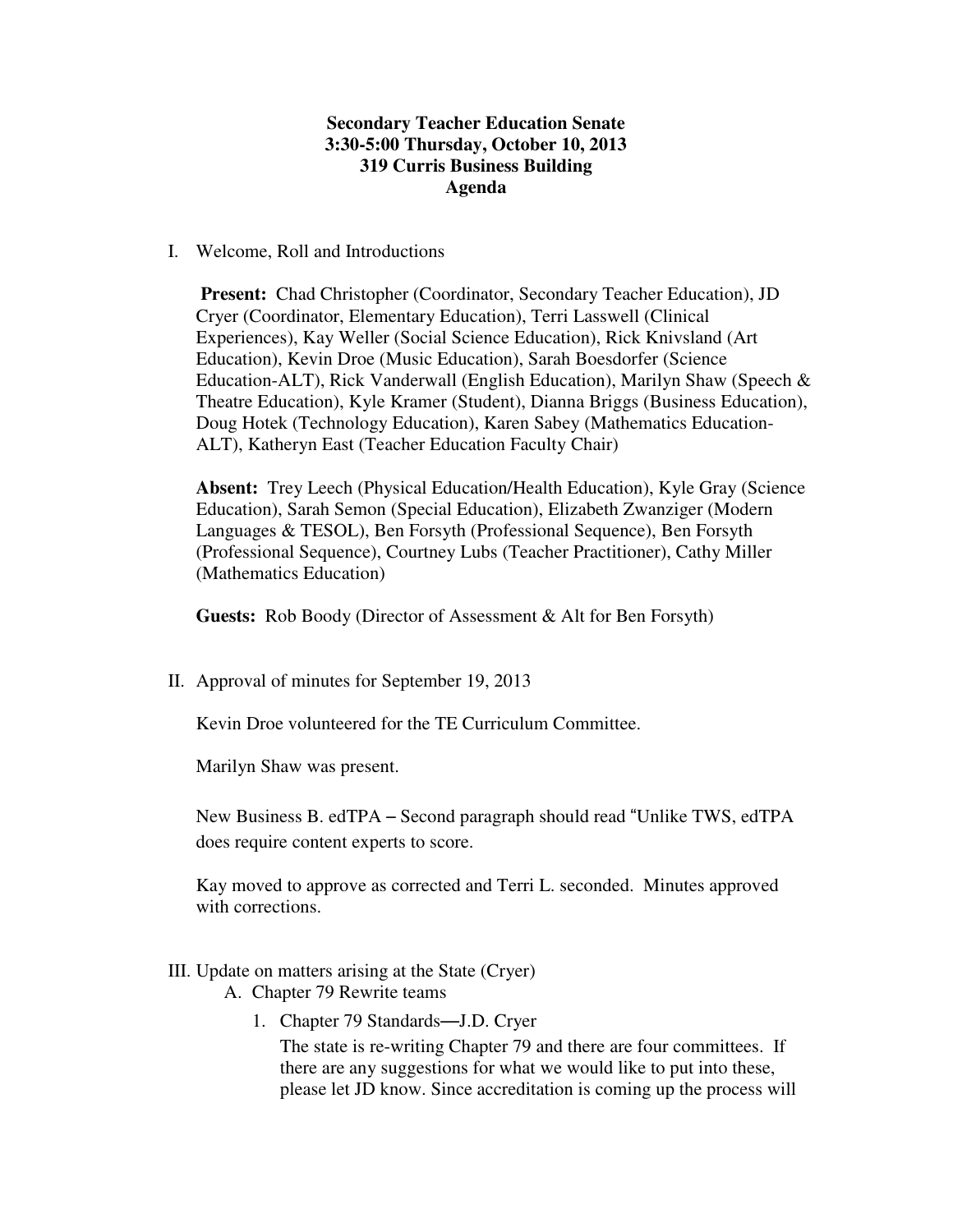### **Secondary Teacher Education Senate 3:30-5:00 Thursday, October 10, 2013 319 Curris Business Building Agenda**

I. Welcome, Roll and Introductions

**Present:** Chad Christopher (Coordinator, Secondary Teacher Education), JD Cryer (Coordinator, Elementary Education), Terri Lasswell (Clinical Experiences), Kay Weller (Social Science Education), Rick Knivsland (Art Education), Kevin Droe (Music Education), Sarah Boesdorfer (Science Education-ALT), Rick Vanderwall (English Education), Marilyn Shaw (Speech & Theatre Education), Kyle Kramer (Student), Dianna Briggs (Business Education), Doug Hotek (Technology Education), Karen Sabey (Mathematics Education-ALT), Katheryn East (Teacher Education Faculty Chair)

**Absent:** Trey Leech (Physical Education/Health Education), Kyle Gray (Science Education), Sarah Semon (Special Education), Elizabeth Zwanziger (Modern Languages & TESOL), Ben Forsyth (Professional Sequence), Ben Forsyth (Professional Sequence), Courtney Lubs (Teacher Practitioner), Cathy Miller (Mathematics Education)

**Guests:** Rob Boody (Director of Assessment & Alt for Ben Forsyth)

II. Approval of minutes for September 19, 2013

Kevin Droe volunteered for the TE Curriculum Committee.

Marilyn Shaw was present.

New Business B. edTPA – Second paragraph should read "Unlike TWS, edTPA does require content experts to score.

Kay moved to approve as corrected and Terri L. seconded. Minutes approved with corrections.

# III. Update on matters arising at the State (Cryer)

- A. Chapter 79 Rewrite teams
	- 1. Chapter 79 Standards—J.D. Cryer

The state is re-writing Chapter 79 and there are four committees. If there are any suggestions for what we would like to put into these, please let JD know. Since accreditation is coming up the process will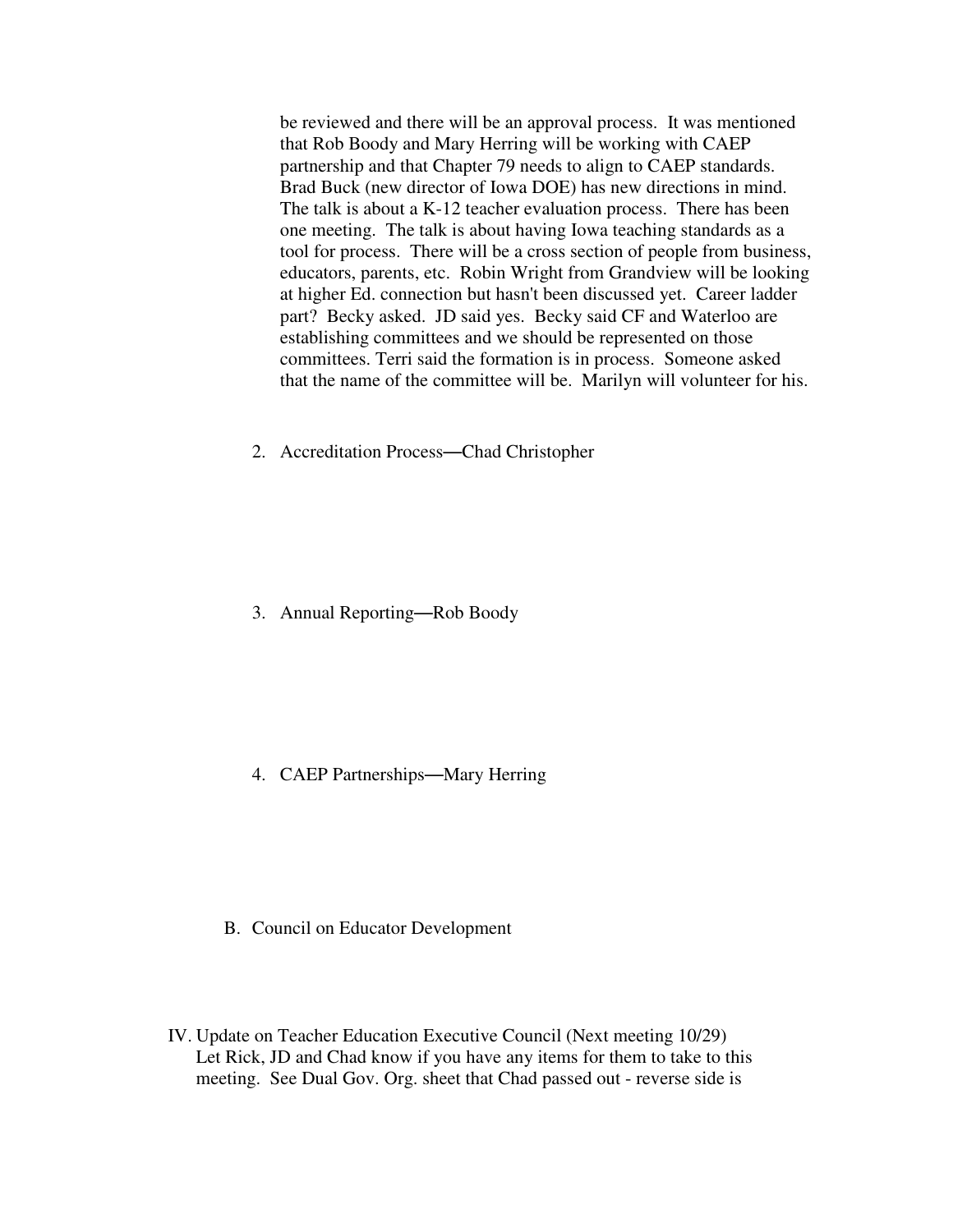be reviewed and there will be an approval process. It was mentioned that Rob Boody and Mary Herring will be working with CAEP partnership and that Chapter 79 needs to align to CAEP standards. Brad Buck (new director of Iowa DOE) has new directions in mind. The talk is about a K-12 teacher evaluation process. There has been one meeting. The talk is about having Iowa teaching standards as a tool for process. There will be a cross section of people from business, educators, parents, etc. Robin Wright from Grandview will be looking at higher Ed. connection but hasn't been discussed yet. Career ladder part? Becky asked. JD said yes. Becky said CF and Waterloo are establishing committees and we should be represented on those committees. Terri said the formation is in process. Someone asked that the name of the committee will be. Marilyn will volunteer for his.

2. Accreditation Process—Chad Christopher

3. Annual Reporting—Rob Boody

4. CAEP Partnerships—Mary Herring

- B. Council on Educator Development
- IV. Update on Teacher Education Executive Council (Next meeting 10/29) Let Rick, JD and Chad know if you have any items for them to take to this meeting. See Dual Gov. Org. sheet that Chad passed out - reverse side is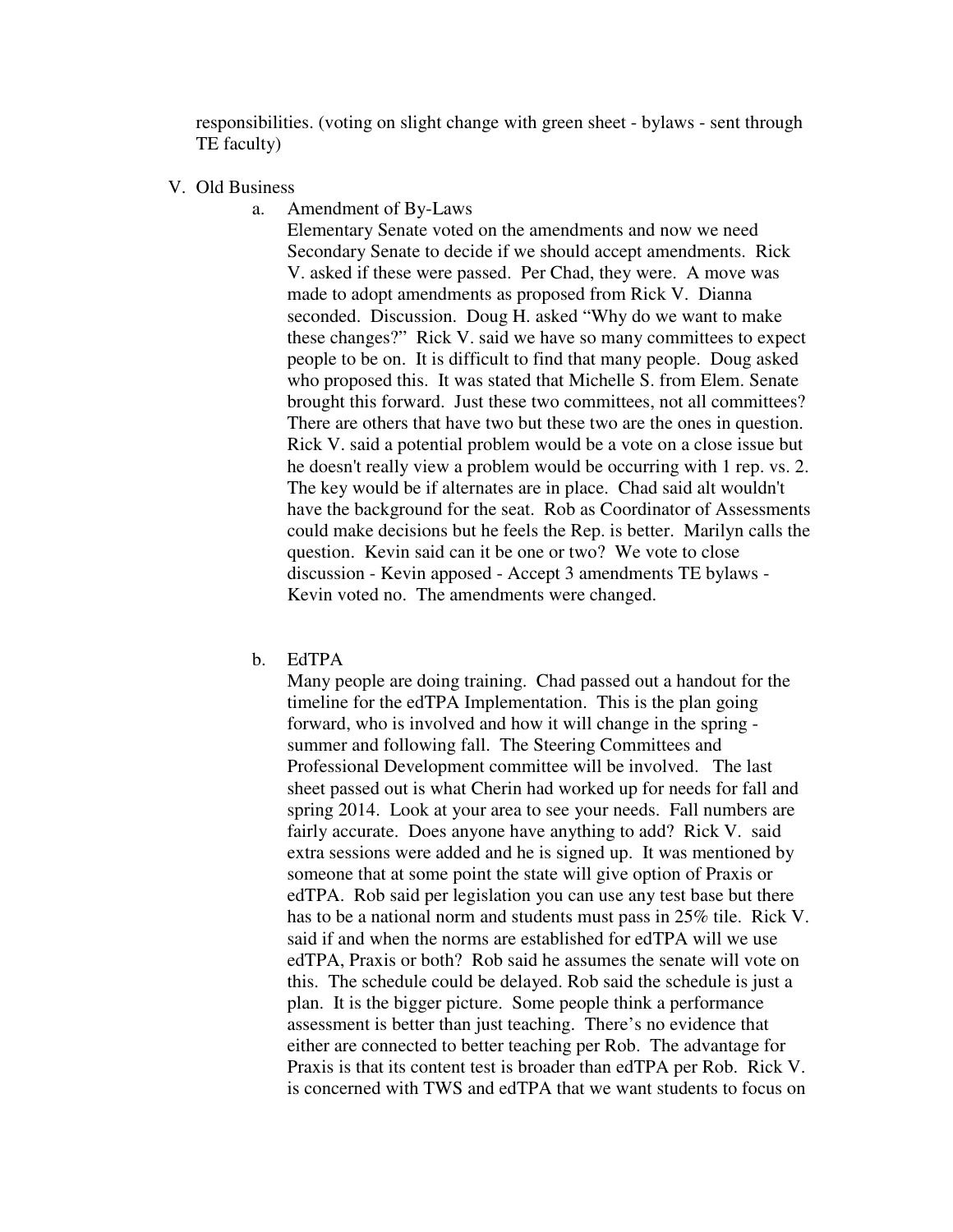responsibilities. (voting on slight change with green sheet - bylaws - sent through TE faculty)

- V. Old Business
	- a. Amendment of By-Laws

Elementary Senate voted on the amendments and now we need Secondary Senate to decide if we should accept amendments. Rick V. asked if these were passed. Per Chad, they were. A move was made to adopt amendments as proposed from Rick V. Dianna seconded. Discussion. Doug H. asked "Why do we want to make these changes?" Rick V. said we have so many committees to expect people to be on. It is difficult to find that many people. Doug asked who proposed this. It was stated that Michelle S. from Elem. Senate brought this forward. Just these two committees, not all committees? There are others that have two but these two are the ones in question. Rick V. said a potential problem would be a vote on a close issue but he doesn't really view a problem would be occurring with 1 rep. vs. 2. The key would be if alternates are in place. Chad said alt wouldn't have the background for the seat. Rob as Coordinator of Assessments could make decisions but he feels the Rep. is better. Marilyn calls the question. Kevin said can it be one or two? We vote to close discussion - Kevin apposed - Accept 3 amendments TE bylaws - Kevin voted no. The amendments were changed.

# b. EdTPA

Many people are doing training. Chad passed out a handout for the timeline for the edTPA Implementation. This is the plan going forward, who is involved and how it will change in the spring summer and following fall. The Steering Committees and Professional Development committee will be involved. The last sheet passed out is what Cherin had worked up for needs for fall and spring 2014. Look at your area to see your needs. Fall numbers are fairly accurate. Does anyone have anything to add? Rick V. said extra sessions were added and he is signed up. It was mentioned by someone that at some point the state will give option of Praxis or edTPA. Rob said per legislation you can use any test base but there has to be a national norm and students must pass in 25% tile. Rick V. said if and when the norms are established for edTPA will we use edTPA, Praxis or both? Rob said he assumes the senate will vote on this. The schedule could be delayed. Rob said the schedule is just a plan. It is the bigger picture. Some people think a performance assessment is better than just teaching. There's no evidence that either are connected to better teaching per Rob. The advantage for Praxis is that its content test is broader than edTPA per Rob. Rick V. is concerned with TWS and edTPA that we want students to focus on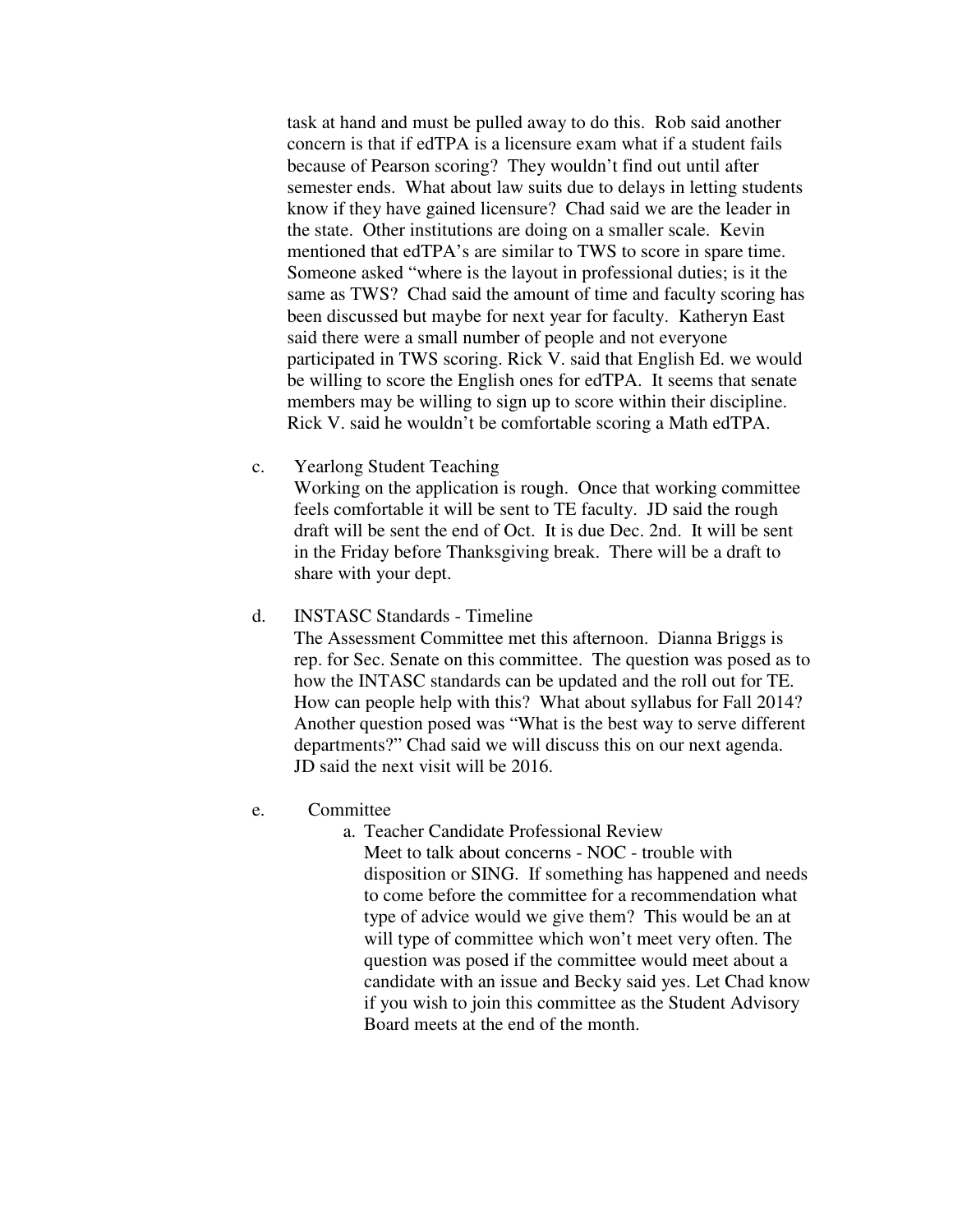task at hand and must be pulled away to do this. Rob said another concern is that if edTPA is a licensure exam what if a student fails because of Pearson scoring? They wouldn't find out until after semester ends. What about law suits due to delays in letting students know if they have gained licensure? Chad said we are the leader in the state. Other institutions are doing on a smaller scale. Kevin mentioned that edTPA's are similar to TWS to score in spare time. Someone asked "where is the layout in professional duties; is it the same as TWS? Chad said the amount of time and faculty scoring has been discussed but maybe for next year for faculty. Katheryn East said there were a small number of people and not everyone participated in TWS scoring. Rick V. said that English Ed. we would be willing to score the English ones for edTPA. It seems that senate members may be willing to sign up to score within their discipline. Rick V. said he wouldn't be comfortable scoring a Math edTPA.

c. Yearlong Student Teaching

 Working on the application is rough. Once that working committee feels comfortable it will be sent to TE faculty. JD said the rough draft will be sent the end of Oct. It is due Dec. 2nd. It will be sent in the Friday before Thanksgiving break. There will be a draft to share with your dept.

#### d. INSTASC Standards - Timeline

The Assessment Committee met this afternoon. Dianna Briggs is rep. for Sec. Senate on this committee. The question was posed as to how the INTASC standards can be updated and the roll out for TE. How can people help with this? What about syllabus for Fall 2014? Another question posed was "What is the best way to serve different departments?" Chad said we will discuss this on our next agenda. JD said the next visit will be 2016.

#### e. Committee

a. Teacher Candidate Professional Review Meet to talk about concerns - NOC - trouble with disposition or SING. If something has happened and needs to come before the committee for a recommendation what type of advice would we give them? This would be an at will type of committee which won't meet very often. The question was posed if the committee would meet about a candidate with an issue and Becky said yes. Let Chad know if you wish to join this committee as the Student Advisory Board meets at the end of the month.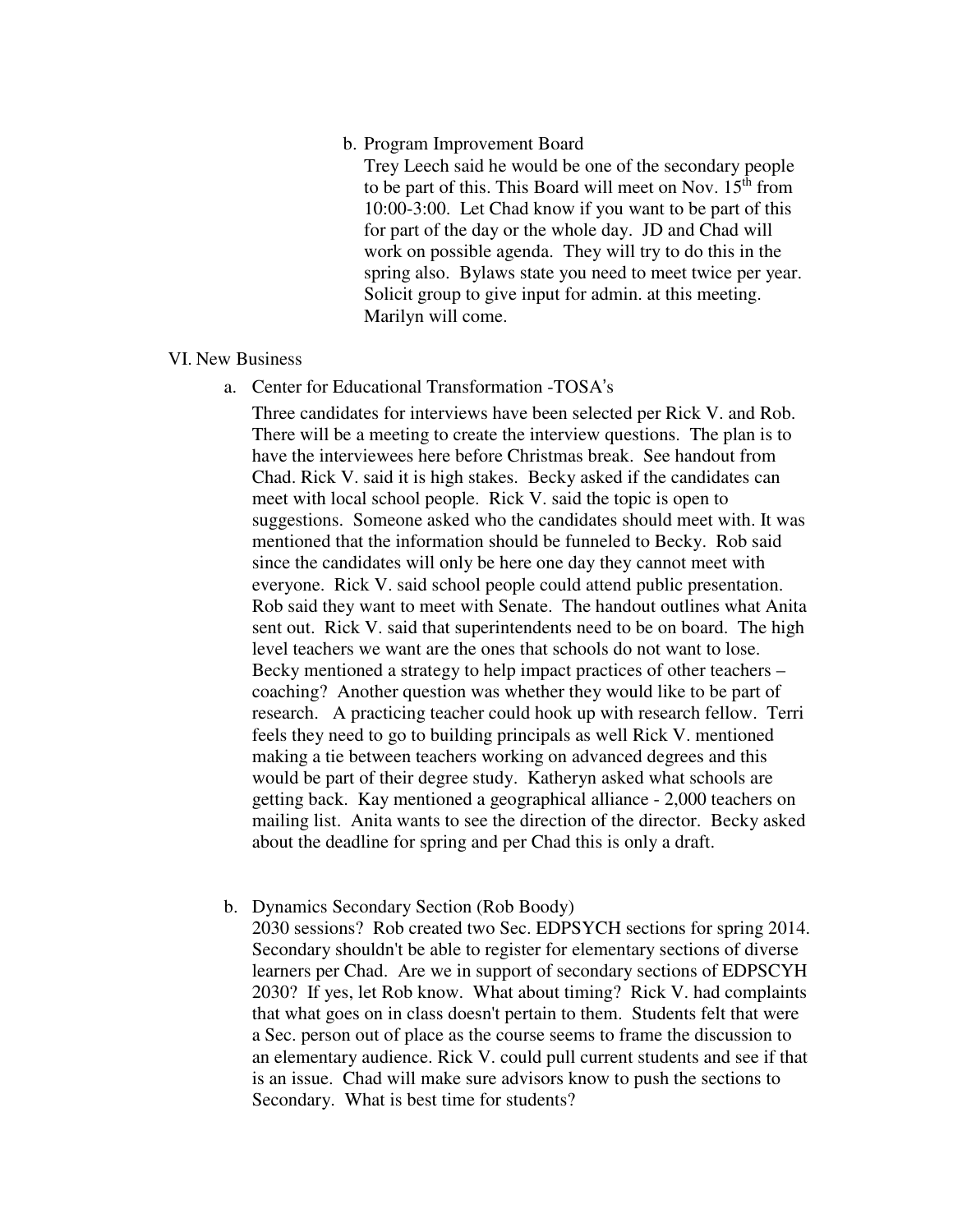#### b. Program Improvement Board

Trey Leech said he would be one of the secondary people to be part of this. This Board will meet on Nov. 15<sup>th</sup> from 10:00-3:00. Let Chad know if you want to be part of this for part of the day or the whole day. JD and Chad will work on possible agenda. They will try to do this in the spring also. Bylaws state you need to meet twice per year. Solicit group to give input for admin. at this meeting. Marilyn will come.

#### VI. New Business

a. Center for Educational Transformation -TOSA's

Three candidates for interviews have been selected per Rick V. and Rob. There will be a meeting to create the interview questions. The plan is to have the interviewees here before Christmas break. See handout from Chad. Rick V. said it is high stakes. Becky asked if the candidates can meet with local school people. Rick V. said the topic is open to suggestions. Someone asked who the candidates should meet with. It was mentioned that the information should be funneled to Becky. Rob said since the candidates will only be here one day they cannot meet with everyone. Rick V. said school people could attend public presentation. Rob said they want to meet with Senate. The handout outlines what Anita sent out. Rick V. said that superintendents need to be on board. The high level teachers we want are the ones that schools do not want to lose. Becky mentioned a strategy to help impact practices of other teachers – coaching? Another question was whether they would like to be part of research. A practicing teacher could hook up with research fellow. Terri feels they need to go to building principals as well Rick V. mentioned making a tie between teachers working on advanced degrees and this would be part of their degree study. Katheryn asked what schools are getting back. Kay mentioned a geographical alliance - 2,000 teachers on mailing list. Anita wants to see the direction of the director. Becky asked about the deadline for spring and per Chad this is only a draft.

b. Dynamics Secondary Section (Rob Boody)

2030 sessions? Rob created two Sec. EDPSYCH sections for spring 2014. Secondary shouldn't be able to register for elementary sections of diverse learners per Chad. Are we in support of secondary sections of EDPSCYH 2030? If yes, let Rob know. What about timing? Rick V. had complaints that what goes on in class doesn't pertain to them. Students felt that were a Sec. person out of place as the course seems to frame the discussion to an elementary audience. Rick V. could pull current students and see if that is an issue. Chad will make sure advisors know to push the sections to Secondary. What is best time for students?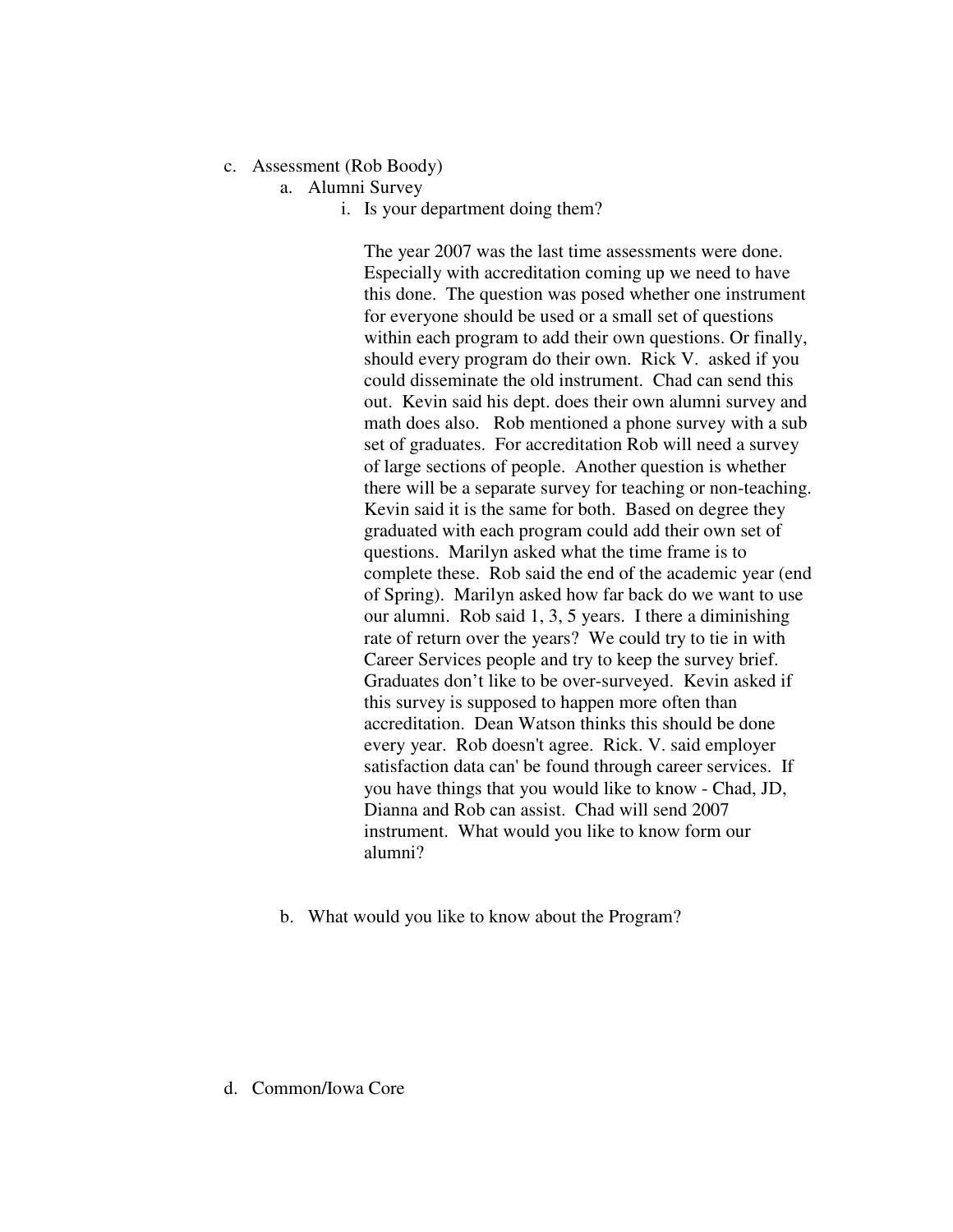- c. Assessment (Rob Boody)
	- a. Alumni Survey
		- i. Is your department doing them?

The year 2007 was the last time assessments were done. Especially with accreditation coming up we need to have this done. The question was posed whether one instrument for everyone should be used or a small set of questions within each program to add their own questions. Or finally, should every program do their own. Rick V. asked if you could disseminate the old instrument. Chad can send this out. Kevin said his dept. does their own alumni survey and math does also. Rob mentioned a phone survey with a sub set of graduates. For accreditation Rob will need a survey of large sections of people. Another question is whether there will be a separate survey for teaching or non-teaching. Kevin said it is the same for both. Based on degree they graduated with each program could add their own set of questions. Marilyn asked what the time frame is to complete these. Rob said the end of the academic year (end of Spring). Marilyn asked how far back do we want to use our alumni. Rob said 1, 3, 5 years. I there a diminishing rate of return over the years? We could try to tie in with Career Services people and try to keep the survey brief. Graduates don't like to be over-surveyed. Kevin asked if this survey is supposed to happen more often than accreditation. Dean Watson thinks this should be done every year. Rob doesn't agree. Rick. V. said employer satisfaction data can' be found through career services. If you have things that you would like to know - Chad, JD, Dianna and Rob can assist. Chad will send 2007 instrument. What would you like to know form our alumni?

b. What would you like to know about the Program?

d. Common/Iowa Core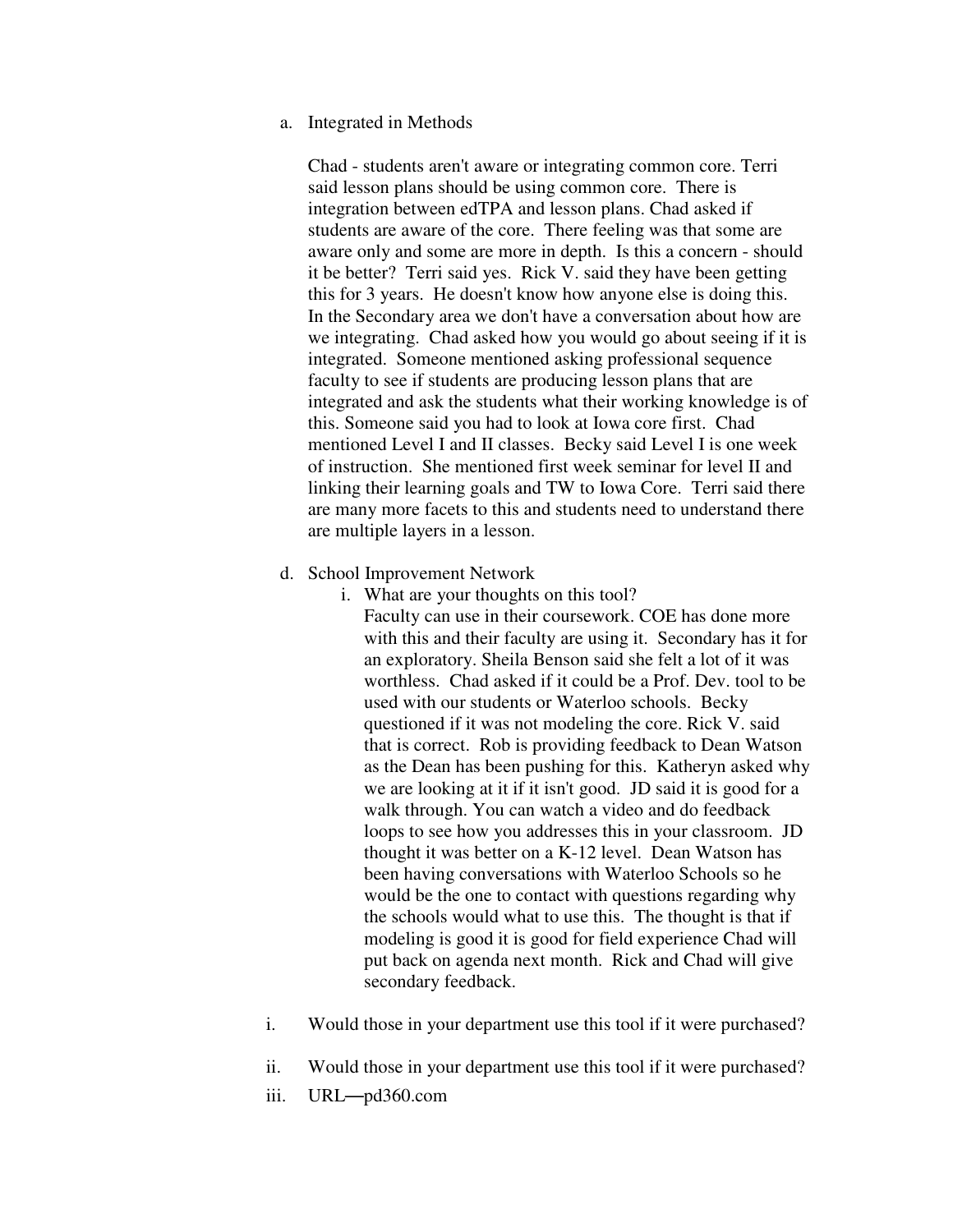a. Integrated in Methods

Chad - students aren't aware or integrating common core. Terri said lesson plans should be using common core. There is integration between edTPA and lesson plans. Chad asked if students are aware of the core. There feeling was that some are aware only and some are more in depth. Is this a concern - should it be better? Terri said yes. Rick V. said they have been getting this for 3 years. He doesn't know how anyone else is doing this. In the Secondary area we don't have a conversation about how are we integrating. Chad asked how you would go about seeing if it is integrated. Someone mentioned asking professional sequence faculty to see if students are producing lesson plans that are integrated and ask the students what their working knowledge is of this. Someone said you had to look at Iowa core first. Chad mentioned Level I and II classes. Becky said Level I is one week of instruction. She mentioned first week seminar for level II and linking their learning goals and TW to Iowa Core. Terri said there are many more facets to this and students need to understand there are multiple layers in a lesson.

- d. School Improvement Network
	- i. What are your thoughts on this tool? Faculty can use in their coursework. COE has done more with this and their faculty are using it. Secondary has it for an exploratory. Sheila Benson said she felt a lot of it was worthless. Chad asked if it could be a Prof. Dev. tool to be used with our students or Waterloo schools. Becky questioned if it was not modeling the core. Rick V. said that is correct. Rob is providing feedback to Dean Watson as the Dean has been pushing for this. Katheryn asked why we are looking at it if it isn't good. JD said it is good for a walk through. You can watch a video and do feedback loops to see how you addresses this in your classroom. JD thought it was better on a K-12 level. Dean Watson has been having conversations with Waterloo Schools so he would be the one to contact with questions regarding why the schools would what to use this. The thought is that if modeling is good it is good for field experience Chad will put back on agenda next month. Rick and Chad will give secondary feedback.
- i. Would those in your department use this tool if it were purchased?
- ii. Would those in your department use this tool if it were purchased?
- iii. URL—pd360.com